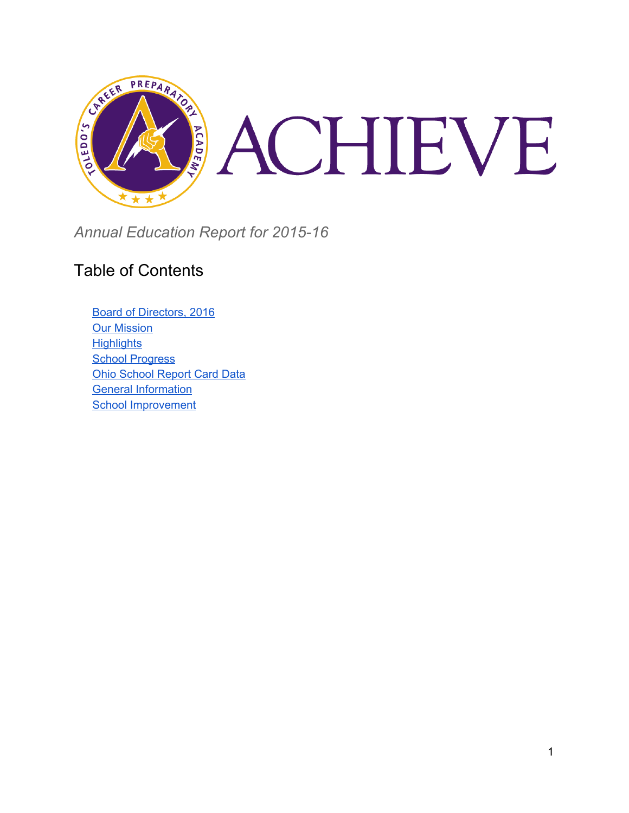

*Annual Education Report for 2015-16*

#### Table of Contents

[Board of Directors, 2016](#page-1-0) [Our Mission](#page-1-1) **[Highlights](#page-1-2) [School Progress](#page-2-0)** [Ohio School Report Card](#page-2-1) Data **General Information** [School Improvement](#page-4-0)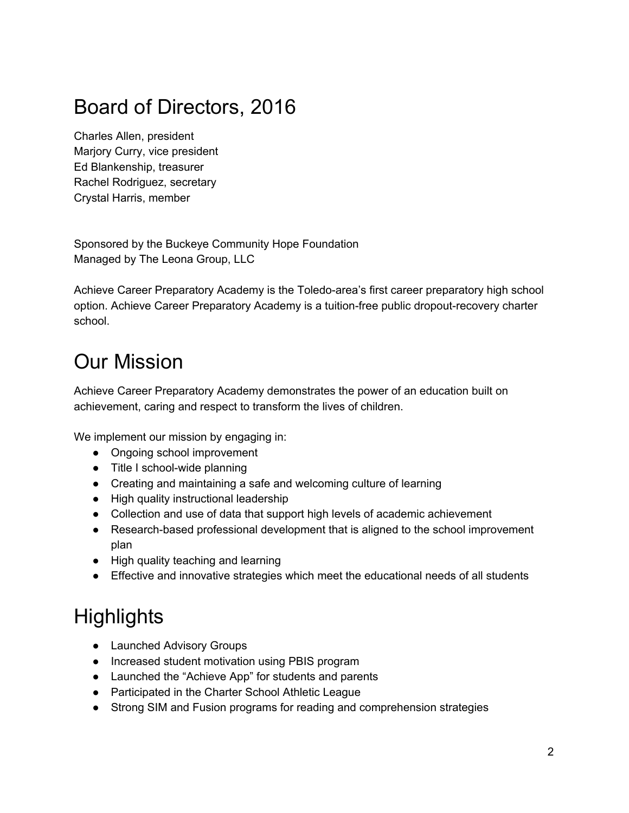## <span id="page-1-0"></span>Board of Directors, 2016

Charles Allen, president Marjory Curry, vice president Ed Blankenship, treasurer Rachel Rodriguez, secretary Crystal Harris, member

Sponsored by the Buckeye Community Hope Foundation Managed by The Leona Group, LLC

Achieve Career Preparatory Academy is the Toledo-area's first career preparatory high school option. Achieve Career Preparatory Academy is a tuition-free public dropout-recovery charter school.

#### <span id="page-1-1"></span>Our Mission

Achieve Career Preparatory Academy demonstrates the power of an education built on achievement, caring and respect to transform the lives of children.

We implement our mission by engaging in:

- Ongoing school improvement
- Title I school-wide planning
- Creating and maintaining a safe and welcoming culture of learning
- High quality instructional leadership
- Collection and use of data that support high levels of academic achievement
- Research-based professional development that is aligned to the school improvement plan
- High quality teaching and learning
- Effective and innovative strategies which meet the educational needs of all students

## <span id="page-1-2"></span>**Highlights**

- Launched Advisory Groups
- Increased student motivation using PBIS program
- Launched the "Achieve App" for students and parents
- Participated in the Charter School Athletic League
- Strong SIM and Fusion programs for reading and comprehension strategies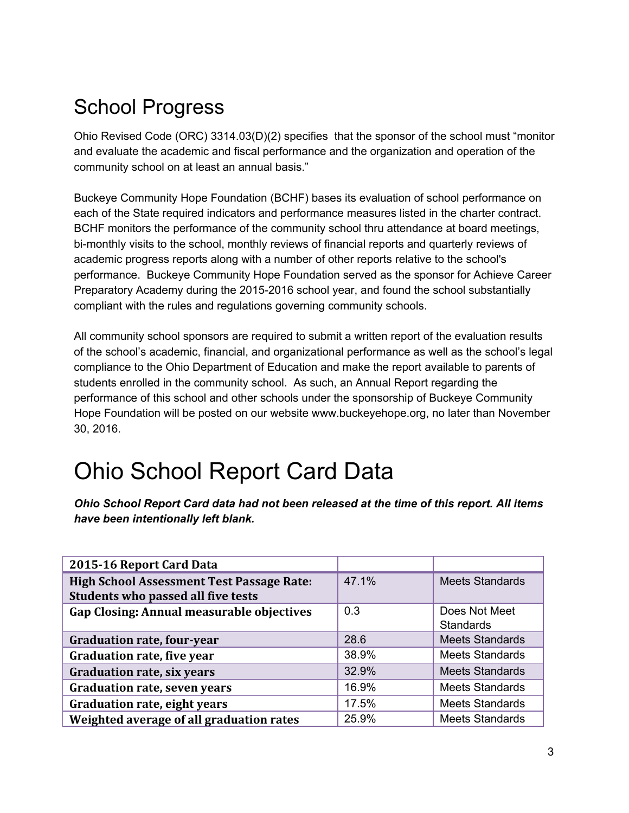## <span id="page-2-0"></span>School Progress

Ohio Revised Code (ORC) 3314.03(D)(2) specifies that the sponsor of the school must "monitor and evaluate the academic and fiscal performance and the organization and operation of the community school on at least an annual basis."

Buckeye Community Hope Foundation (BCHF) bases its evaluation of school performance on each of the State required indicators and performance measures listed in the charter contract. BCHF monitors the performance of the community school thru attendance at board meetings, bi-monthly visits to the school, monthly reviews of financial reports and quarterly reviews of academic progress reports along with a number of other reports relative to the school's performance. Buckeye Community Hope Foundation served as the sponsor for Achieve Career Preparatory Academy during the 2015-2016 school year, and found the school substantially compliant with the rules and regulations governing community schools.

All community school sponsors are required to submit a written report of the evaluation results of the school's academic, financial, and organizational performance as well as the school's legal compliance to the Ohio Department of Education and make the report available to parents of students enrolled in the community school. As such, an Annual Report regarding the performance of this school and other schools under the sponsorship of Buckeye Community Hope Foundation will be posted on our website [www.buckeyehope.org,](http://www.buckeyehope.org/) no later than November 30, 2016.

# <span id="page-2-1"></span>Ohio School Report Card Data

*Ohio School Report Card data had not been released at the time of this report. All items have been intentionally left blank.*

| 2015-16 Report Card Data                                                               |       |                                   |
|----------------------------------------------------------------------------------------|-------|-----------------------------------|
| <b>High School Assessment Test Passage Rate:</b><br>Students who passed all five tests | 47.1% | <b>Meets Standards</b>            |
| Gap Closing: Annual measurable objectives                                              | 0.3   | Does Not Meet<br><b>Standards</b> |
| <b>Graduation rate, four-year</b>                                                      | 28.6  | <b>Meets Standards</b>            |
| <b>Graduation rate, five year</b>                                                      | 38.9% | <b>Meets Standards</b>            |
| <b>Graduation rate, six years</b>                                                      | 32.9% | <b>Meets Standards</b>            |
| <b>Graduation rate, seven years</b>                                                    | 16.9% | <b>Meets Standards</b>            |
| Graduation rate, eight years                                                           | 17.5% | <b>Meets Standards</b>            |
| Weighted average of all graduation rates                                               | 25.9% | <b>Meets Standards</b>            |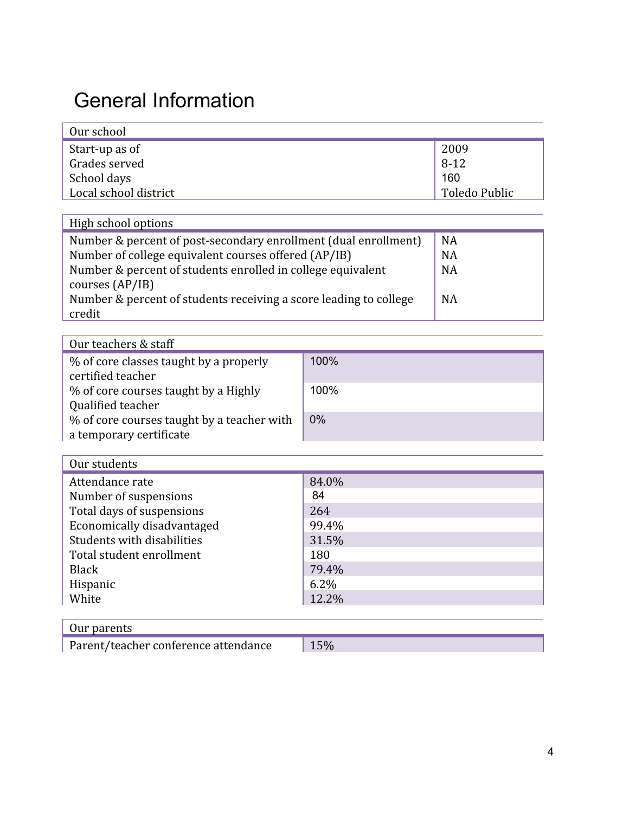## General Information

| Our school            |               |
|-----------------------|---------------|
| Start-up as of        | 2009          |
| Grades served         | 8-12          |
| School days           | 160           |
| Local school district | Toledo Public |

| High school options                                               |           |
|-------------------------------------------------------------------|-----------|
| Number & percent of post-secondary enrollment (dual enrollment)   | <b>NA</b> |
| Number of college equivalent courses offered (AP/IB)              | <b>NA</b> |
| Number & percent of students enrolled in college equivalent       | <b>NA</b> |
| courses (AP/IB)                                                   |           |
| Number & percent of students receiving a score leading to college | <b>NA</b> |
| credit                                                            |           |

| Our teachers & staff                                                  |       |
|-----------------------------------------------------------------------|-------|
| % of core classes taught by a properly<br>certified teacher           | 100%  |
| % of core courses taught by a Highly<br>Qualified teacher             | 100%  |
| % of core courses taught by a teacher with<br>a temporary certificate | $0\%$ |

| Our students               |         |
|----------------------------|---------|
| Attendance rate            | 84.0%   |
| Number of suspensions      | 84      |
| Total days of suspensions  | 264     |
| Economically disadvantaged | 99.4%   |
| Students with disabilities | 31.5%   |
| Total student enrollment   | 180     |
| <b>Black</b>               | 79.4%   |
| Hispanic                   | $6.2\%$ |
| White                      | 12.2%   |
|                            |         |

|--|

Parent/teacher conference attendance 15%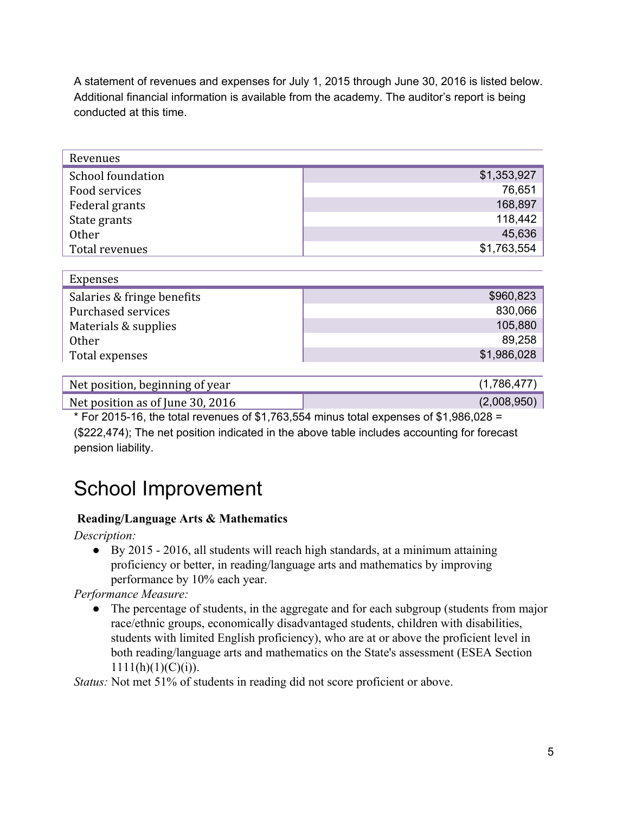A statement of revenues and expenses for July 1, 2015 through June 30, 2016 is listed below. Additional financial information is available from the academy. The auditor's report is being conducted at this time.

| Revenues          |             |
|-------------------|-------------|
| School foundation | \$1,353,927 |
| Food services     | 76,651      |
| Federal grants    | 168,897     |
| State grants      | 118,442     |
| Other             | 45,636      |
| Total revenues    | \$1,763,554 |

| Expenses                   |             |
|----------------------------|-------------|
| Salaries & fringe benefits | \$960,823   |
| Purchased services         | 830,066     |
| Materials & supplies       | 105,880     |
| <b>Other</b>               | 89,258      |
| Total expenses             | \$1,986,028 |
|                            |             |

| Net position, beginning of year  | (1,786,477) |
|----------------------------------|-------------|
| Net position as of June 30, 2016 | (2,008,950) |

 $*$  For 2015-16, the total revenues of \$1,763,554 minus total expenses of \$1,986,028 = (\$222,474); The net position indicated in the above table includes accounting for forecast pension liability.

#### <span id="page-4-0"></span>School Improvement

#### **Reading/Language Arts & Mathematics**

*Description:*

● By 2015 - 2016, all students will reach high standards, at a minimum attaining proficiency or better, in reading/language arts and mathematics by improving performance by 10% each year.

*Performance Measure:*

• The percentage of students, in the aggregate and for each subgroup (students from major race/ethnic groups, economically disadvantaged students, children with disabilities, students with limited English proficiency), who are at or above the proficient level in both reading/language arts and mathematics on the State's assessment (ESEA Section  $1111(h)(1)(C)(i)$ ).

*Status:* Not met 51% of students in reading did not score proficient or above.